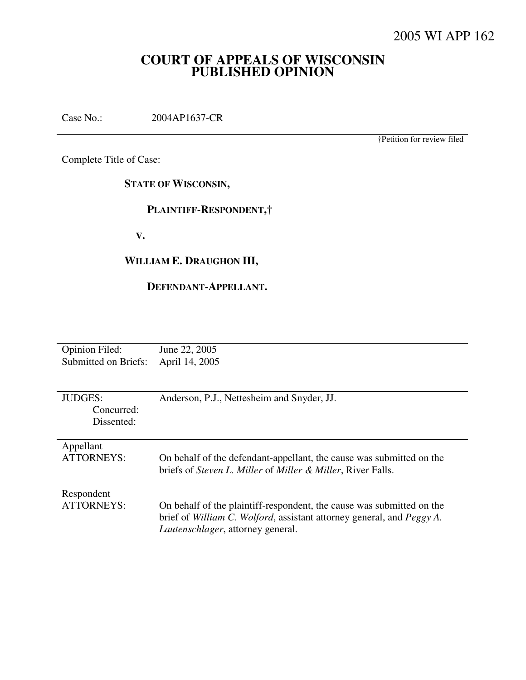# **COURT OF APPEALS OF WISCONSIN PUBLISHED OPINION**

Case No.: 2004AP1637-CR

†Petition for review filed

Complete Title of Case:

**STATE OF WISCONSIN,** 

 **PLAINTIFF-RESPONDENT,†** 

 **V.** 

# **WILLIAM E. DRAUGHON III,**

## **DEFENDANT-APPELLANT.**

| <b>Opinion Filed:</b> | June 22, 2005                                                                  |
|-----------------------|--------------------------------------------------------------------------------|
| Submitted on Briefs:  | April 14, 2005                                                                 |
|                       |                                                                                |
|                       |                                                                                |
| <b>JUDGES:</b>        | Anderson, P.J., Nettesheim and Snyder, JJ.                                     |
| Concurred:            |                                                                                |
| Dissented:            |                                                                                |
|                       |                                                                                |
| Appellant             |                                                                                |
| <b>ATTORNEYS:</b>     | On behalf of the defendant-appellant, the cause was submitted on the           |
|                       | briefs of <i>Steven L. Miller</i> of <i>Miller &amp; Miller</i> , River Falls. |
|                       |                                                                                |
| Respondent            |                                                                                |
| <b>ATTORNEYS:</b>     | On behalf of the plaintiff-respondent, the cause was submitted on the          |
|                       | brief of William C. Wolford, assistant attorney general, and Peggy A.          |
|                       |                                                                                |
|                       | Lautenschlager, attorney general.                                              |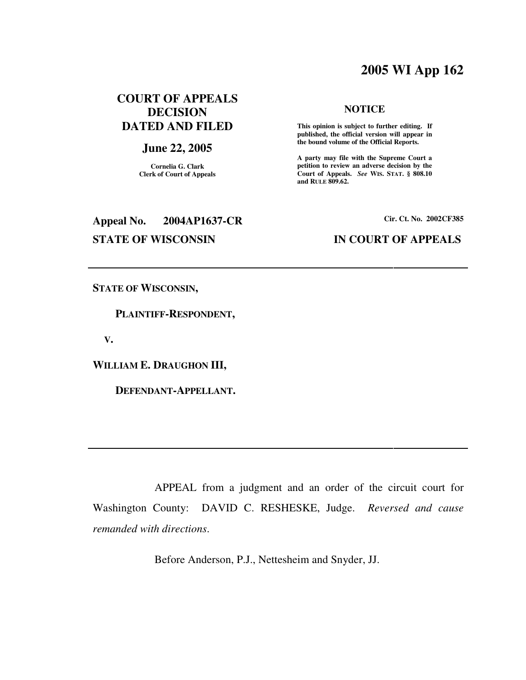# **2005 WI App 162**

# **COURT OF APPEALS DECISION DATED AND FILED**

## **June 22, 2005**

**Cornelia G. Clark Clerk of Court of Appeals**

# **NOTICE**

 **This opinion is subject to further editing. If published, the official version will appear in the bound volume of the Official Reports.** 

**A party may file with the Supreme Court a petition to review an adverse decision by the Court of Appeals.** *See* **WIS. STAT. § 808.10 and RULE 809.62.** 

# **Appeal No. 2004AP1637-CR Cir. Ct. No. 2002CF385**

## **STATE OF WISCONSIN IN COURT OF APPEALS**

**STATE OF WISCONSIN,** 

 **PLAINTIFF-RESPONDENT,** 

 **V.** 

**WILLIAM E. DRAUGHON III,** 

 **DEFENDANT-APPELLANT.** 

 APPEAL from a judgment and an order of the circuit court for Washington County: DAVID C. RESHESKE, Judge. *Reversed and cause remanded with directions*.

Before Anderson, P.J., Nettesheim and Snyder, JJ.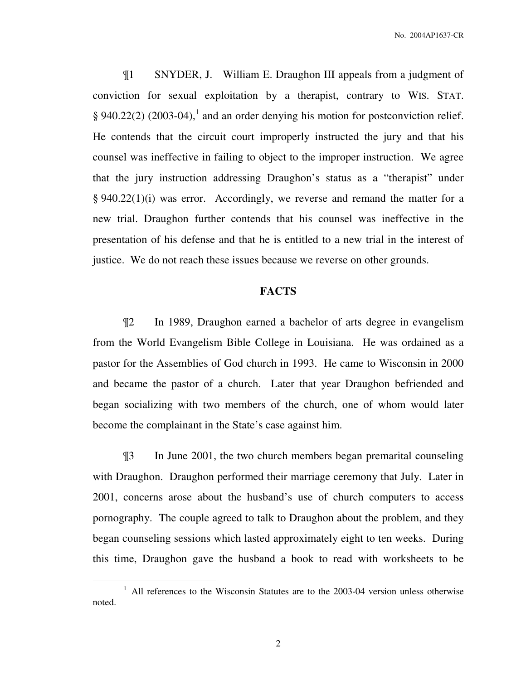¶1 SNYDER, J. William E. Draughon III appeals from a judgment of conviction for sexual exploitation by a therapist, contrary to WIS. STAT. § 940.22(2) (2003-04),<sup>1</sup> and an order denying his motion for postconviction relief. He contends that the circuit court improperly instructed the jury and that his counsel was ineffective in failing to object to the improper instruction. We agree that the jury instruction addressing Draughon's status as a "therapist" under § 940.22(1)(i) was error. Accordingly, we reverse and remand the matter for a new trial. Draughon further contends that his counsel was ineffective in the presentation of his defense and that he is entitled to a new trial in the interest of justice. We do not reach these issues because we reverse on other grounds.

## **FACTS**

¶2 In 1989, Draughon earned a bachelor of arts degree in evangelism from the World Evangelism Bible College in Louisiana. He was ordained as a pastor for the Assemblies of God church in 1993. He came to Wisconsin in 2000 and became the pastor of a church. Later that year Draughon befriended and began socializing with two members of the church, one of whom would later become the complainant in the State's case against him.

¶3 In June 2001, the two church members began premarital counseling with Draughon. Draughon performed their marriage ceremony that July. Later in 2001, concerns arose about the husband's use of church computers to access pornography. The couple agreed to talk to Draughon about the problem, and they began counseling sessions which lasted approximately eight to ten weeks. During this time, Draughon gave the husband a book to read with worksheets to be

 $\overline{a}$ 

<sup>&</sup>lt;sup>1</sup> All references to the Wisconsin Statutes are to the 2003-04 version unless otherwise noted.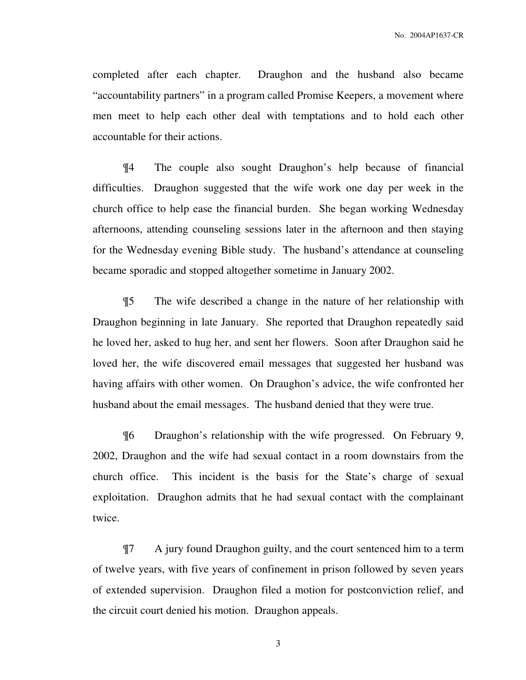completed after each chapter. Draughon and the husband also became "accountability partners" in a program called Promise Keepers, a movement where men meet to help each other deal with temptations and to hold each other accountable for their actions.

¶4 The couple also sought Draughon's help because of financial difficulties. Draughon suggested that the wife work one day per week in the church office to help ease the financial burden. She began working Wednesday afternoons, attending counseling sessions later in the afternoon and then staying for the Wednesday evening Bible study. The husband's attendance at counseling became sporadic and stopped altogether sometime in January 2002.

¶5 The wife described a change in the nature of her relationship with Draughon beginning in late January. She reported that Draughon repeatedly said he loved her, asked to hug her, and sent her flowers. Soon after Draughon said he loved her, the wife discovered email messages that suggested her husband was having affairs with other women. On Draughon's advice, the wife confronted her husband about the email messages. The husband denied that they were true.

¶6 Draughon's relationship with the wife progressed. On February 9, 2002, Draughon and the wife had sexual contact in a room downstairs from the church office. This incident is the basis for the State's charge of sexual exploitation. Draughon admits that he had sexual contact with the complainant twice.

¶7 A jury found Draughon guilty, and the court sentenced him to a term of twelve years, with five years of confinement in prison followed by seven years of extended supervision. Draughon filed a motion for postconviction relief, and the circuit court denied his motion. Draughon appeals.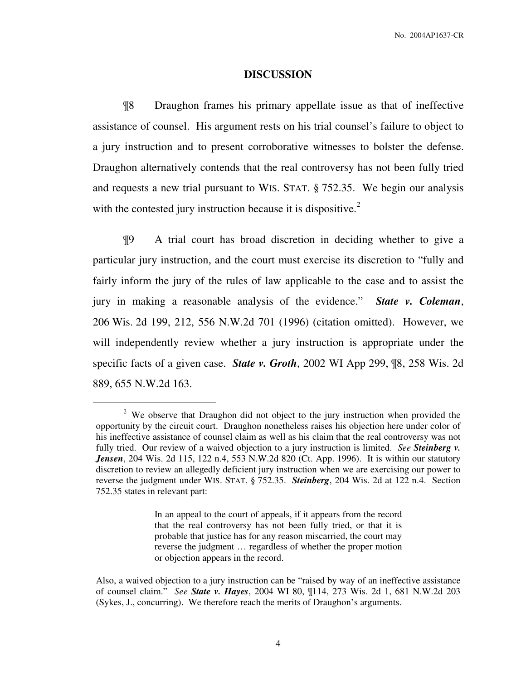### **DISCUSSION**

¶8 Draughon frames his primary appellate issue as that of ineffective assistance of counsel. His argument rests on his trial counsel's failure to object to a jury instruction and to present corroborative witnesses to bolster the defense. Draughon alternatively contends that the real controversy has not been fully tried and requests a new trial pursuant to WIS. STAT. § 752.35. We begin our analysis with the contested jury instruction because it is dispositive. $2^2$ 

¶9 A trial court has broad discretion in deciding whether to give a particular jury instruction, and the court must exercise its discretion to "fully and fairly inform the jury of the rules of law applicable to the case and to assist the jury in making a reasonable analysis of the evidence." *State v. Coleman*, 206 Wis. 2d 199, 212, 556 N.W.2d 701 (1996) (citation omitted). However, we will independently review whether a jury instruction is appropriate under the specific facts of a given case. *State v. Groth*, 2002 WI App 299, ¶8, 258 Wis. 2d 889, 655 N.W.2d 163.

 $\overline{a}$ 

In an appeal to the court of appeals, if it appears from the record that the real controversy has not been fully tried, or that it is probable that justice has for any reason miscarried, the court may reverse the judgment … regardless of whether the proper motion or objection appears in the record.

<sup>&</sup>lt;sup>2</sup> We observe that Draughon did not object to the jury instruction when provided the opportunity by the circuit court. Draughon nonetheless raises his objection here under color of his ineffective assistance of counsel claim as well as his claim that the real controversy was not fully tried. Our review of a waived objection to a jury instruction is limited. *See Steinberg v. Jensen*, 204 Wis. 2d 115, 122 n.4, 553 N.W.2d 820 (Ct. App. 1996). It is within our statutory discretion to review an allegedly deficient jury instruction when we are exercising our power to reverse the judgment under WIS. STAT. § 752.35. *Steinberg*, 204 Wis. 2d at 122 n.4. Section 752.35 states in relevant part:

Also, a waived objection to a jury instruction can be "raised by way of an ineffective assistance of counsel claim." *See State v. Hayes*, 2004 WI 80, ¶114, 273 Wis. 2d 1, 681 N.W.2d 203 (Sykes, J., concurring). We therefore reach the merits of Draughon's arguments.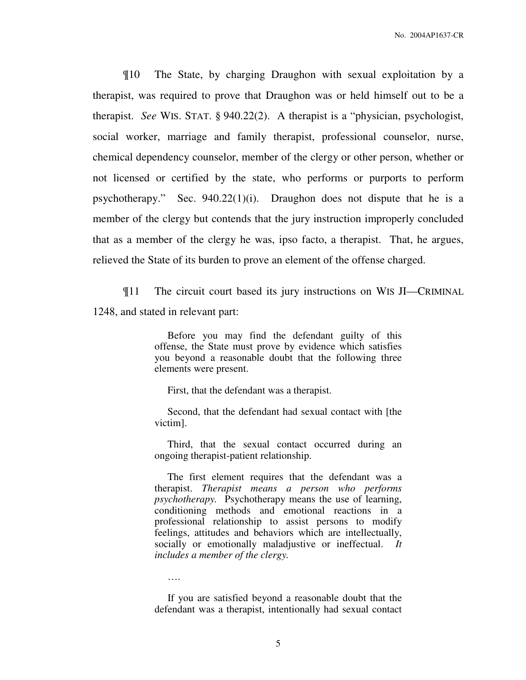¶10 The State, by charging Draughon with sexual exploitation by a therapist, was required to prove that Draughon was or held himself out to be a therapist. *See* WIS. STAT. § 940.22(2). A therapist is a "physician, psychologist, social worker, marriage and family therapist, professional counselor, nurse, chemical dependency counselor, member of the clergy or other person, whether or not licensed or certified by the state, who performs or purports to perform psychotherapy." Sec. 940.22(1)(i). Draughon does not dispute that he is a member of the clergy but contends that the jury instruction improperly concluded that as a member of the clergy he was, ipso facto, a therapist. That, he argues, relieved the State of its burden to prove an element of the offense charged.

¶11 The circuit court based its jury instructions on WIS JI—CRIMINAL 1248, and stated in relevant part:

> Before you may find the defendant guilty of this offense, the State must prove by evidence which satisfies you beyond a reasonable doubt that the following three elements were present.

First, that the defendant was a therapist.

 Second, that the defendant had sexual contact with [the victim].

 Third, that the sexual contact occurred during an ongoing therapist-patient relationship.

 The first element requires that the defendant was a therapist. *Therapist means a person who performs psychotherapy.* Psychotherapy means the use of learning, conditioning methods and emotional reactions in a professional relationship to assist persons to modify feelings, attitudes and behaviors which are intellectually, socially or emotionally maladjustive or ineffectual. *It includes a member of the clergy.*

 If you are satisfied beyond a reasonable doubt that the defendant was a therapist, intentionally had sexual contact

….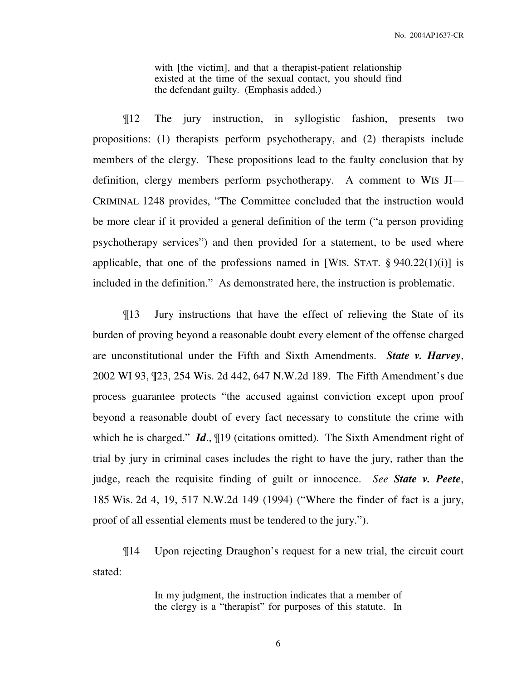with [the victim], and that a therapist-patient relationship existed at the time of the sexual contact, you should find the defendant guilty. (Emphasis added.)

¶12 The jury instruction, in syllogistic fashion, presents two propositions: (1) therapists perform psychotherapy, and (2) therapists include members of the clergy. These propositions lead to the faulty conclusion that by definition, clergy members perform psychotherapy. A comment to WIS JI— CRIMINAL 1248 provides, "The Committee concluded that the instruction would be more clear if it provided a general definition of the term ("a person providing psychotherapy services") and then provided for a statement, to be used where applicable, that one of the professions named in [WIS. STAT.  $\S 940.22(1)(i)$ ] is included in the definition." As demonstrated here, the instruction is problematic.

¶13 Jury instructions that have the effect of relieving the State of its burden of proving beyond a reasonable doubt every element of the offense charged are unconstitutional under the Fifth and Sixth Amendments. *State v. Harvey*, 2002 WI 93, ¶23, 254 Wis. 2d 442, 647 N.W.2d 189. The Fifth Amendment's due process guarantee protects "the accused against conviction except upon proof beyond a reasonable doubt of every fact necessary to constitute the crime with which he is charged." *Id*., ¶19 (citations omitted). The Sixth Amendment right of trial by jury in criminal cases includes the right to have the jury, rather than the judge, reach the requisite finding of guilt or innocence. *See State v. Peete*, 185 Wis. 2d 4, 19, 517 N.W.2d 149 (1994) ("Where the finder of fact is a jury, proof of all essential elements must be tendered to the jury.").

¶14 Upon rejecting Draughon's request for a new trial, the circuit court stated:

> In my judgment, the instruction indicates that a member of the clergy is a "therapist" for purposes of this statute. In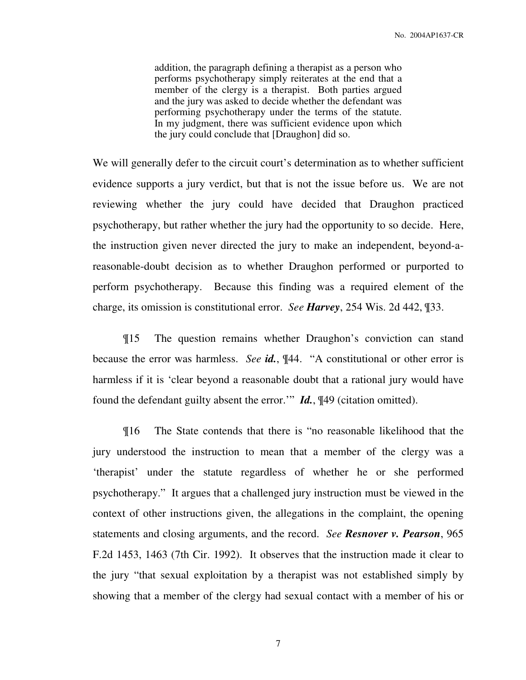addition, the paragraph defining a therapist as a person who performs psychotherapy simply reiterates at the end that a member of the clergy is a therapist. Both parties argued and the jury was asked to decide whether the defendant was performing psychotherapy under the terms of the statute. In my judgment, there was sufficient evidence upon which the jury could conclude that [Draughon] did so.

We will generally defer to the circuit court's determination as to whether sufficient evidence supports a jury verdict, but that is not the issue before us. We are not reviewing whether the jury could have decided that Draughon practiced psychotherapy, but rather whether the jury had the opportunity to so decide. Here, the instruction given never directed the jury to make an independent, beyond-areasonable-doubt decision as to whether Draughon performed or purported to perform psychotherapy. Because this finding was a required element of the charge, its omission is constitutional error. *See Harvey*, 254 Wis. 2d 442, ¶33.

¶15 The question remains whether Draughon's conviction can stand because the error was harmless. *See id.*, ¶44. "A constitutional or other error is harmless if it is 'clear beyond a reasonable doubt that a rational jury would have found the defendant guilty absent the error.'" *Id.*, ¶49 (citation omitted).

¶16 The State contends that there is "no reasonable likelihood that the jury understood the instruction to mean that a member of the clergy was a 'therapist' under the statute regardless of whether he or she performed psychotherapy." It argues that a challenged jury instruction must be viewed in the context of other instructions given, the allegations in the complaint, the opening statements and closing arguments, and the record. *See Resnover v. Pearson*, 965 F.2d 1453, 1463 (7th Cir. 1992). It observes that the instruction made it clear to the jury "that sexual exploitation by a therapist was not established simply by showing that a member of the clergy had sexual contact with a member of his or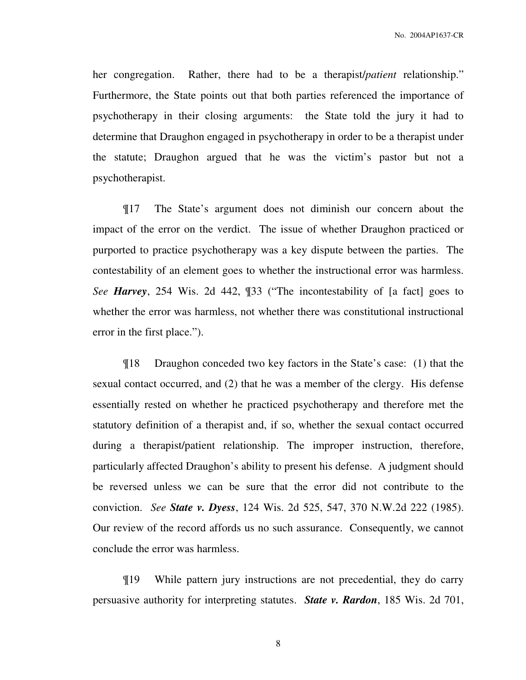No. 2004AP1637-CR

her congregation. Rather, there had to be a therapist/*patient* relationship." Furthermore, the State points out that both parties referenced the importance of psychotherapy in their closing arguments: the State told the jury it had to determine that Draughon engaged in psychotherapy in order to be a therapist under the statute; Draughon argued that he was the victim's pastor but not a psychotherapist.

¶17 The State's argument does not diminish our concern about the impact of the error on the verdict. The issue of whether Draughon practiced or purported to practice psychotherapy was a key dispute between the parties. The contestability of an element goes to whether the instructional error was harmless. *See Harvey*, 254 Wis. 2d 442, ¶33 ("The incontestability of [a fact] goes to whether the error was harmless, not whether there was constitutional instructional error in the first place.").

¶18 Draughon conceded two key factors in the State's case: (1) that the sexual contact occurred, and (2) that he was a member of the clergy. His defense essentially rested on whether he practiced psychotherapy and therefore met the statutory definition of a therapist and, if so, whether the sexual contact occurred during a therapist/patient relationship. The improper instruction, therefore, particularly affected Draughon's ability to present his defense. A judgment should be reversed unless we can be sure that the error did not contribute to the conviction. *See State v. Dyess*, 124 Wis. 2d 525, 547, 370 N.W.2d 222 (1985). Our review of the record affords us no such assurance. Consequently, we cannot conclude the error was harmless.

¶19 While pattern jury instructions are not precedential, they do carry persuasive authority for interpreting statutes. *State v. Rardon*, 185 Wis. 2d 701,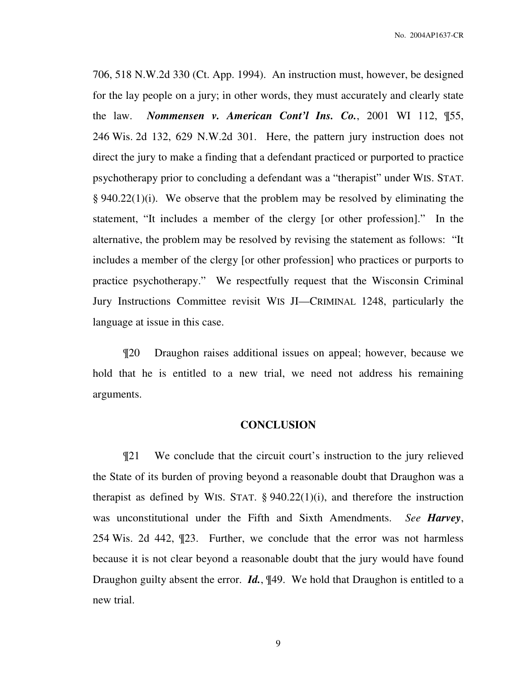No. 2004AP1637-CR

706, 518 N.W.2d 330 (Ct. App. 1994). An instruction must, however, be designed for the lay people on a jury; in other words, they must accurately and clearly state the law. *Nommensen v. American Cont'l Ins. Co.*, 2001 WI 112, ¶55, 246 Wis. 2d 132, 629 N.W.2d 301. Here, the pattern jury instruction does not direct the jury to make a finding that a defendant practiced or purported to practice psychotherapy prior to concluding a defendant was a "therapist" under WIS. STAT. § 940.22(1)(i). We observe that the problem may be resolved by eliminating the statement, "It includes a member of the clergy [or other profession]." In the alternative, the problem may be resolved by revising the statement as follows: "It includes a member of the clergy [or other profession] who practices or purports to practice psychotherapy." We respectfully request that the Wisconsin Criminal Jury Instructions Committee revisit WIS JI—CRIMINAL 1248, particularly the language at issue in this case.

¶20 Draughon raises additional issues on appeal; however, because we hold that he is entitled to a new trial, we need not address his remaining arguments.

## **CONCLUSION**

¶21 We conclude that the circuit court's instruction to the jury relieved the State of its burden of proving beyond a reasonable doubt that Draughon was a therapist as defined by WIS. STAT.  $\S 940.22(1)(i)$ , and therefore the instruction was unconstitutional under the Fifth and Sixth Amendments. *See Harvey*, 254 Wis. 2d 442, ¶23. Further, we conclude that the error was not harmless because it is not clear beyond a reasonable doubt that the jury would have found Draughon guilty absent the error. *Id.*, ¶49. We hold that Draughon is entitled to a new trial.